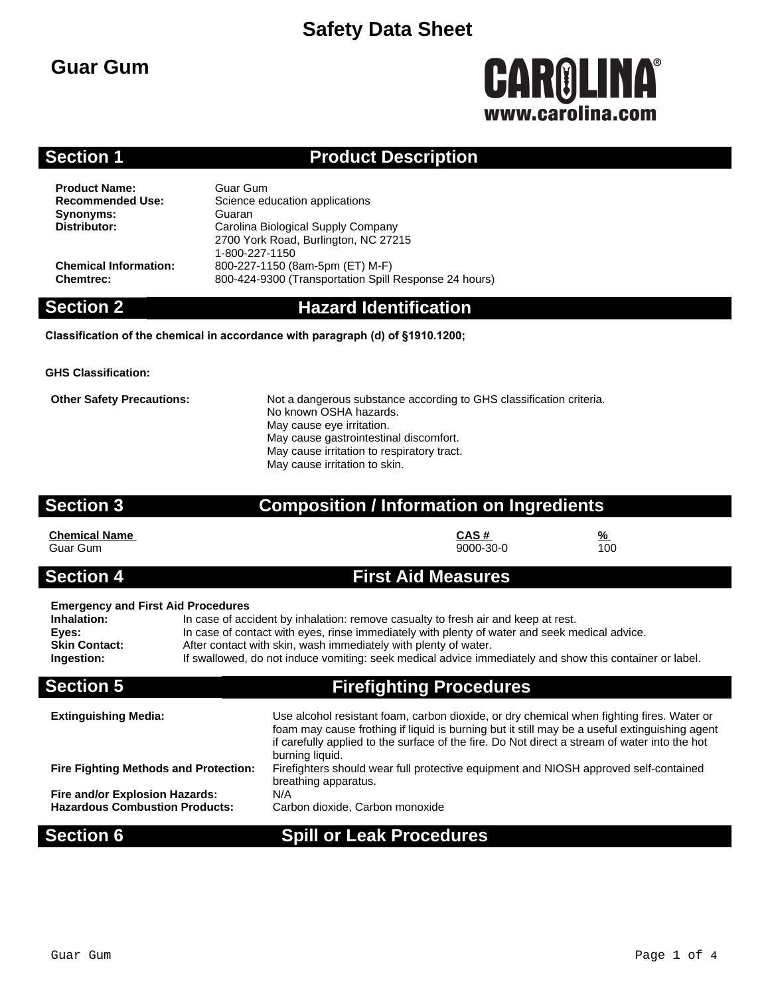## **Guar Gum**

# **CAROLINA®** www.carolina.com

## **Section 1 Product Description**

**Product Name:** Guar Gum<br> **Recommended Use:** Science ed **Synonyms:** Guaran<br> **Distributor:** Carolina

**Science education applications Distributor:** Carolina Biological Supply Company 2700 York Road, Burlington, NC 27215 1-800-227-1150 **Chemical Information:** 800-227-1150 (8am-5pm (ET) M-F) **Chemtrec:** 800-424-9300 (Transportation Spill Response 24 hours)

### **Section 2 Hazard Identification**

**Classification of the chemical in accordance with paragraph (d) of §1910.1200;**

**GHS Classification:**

**Other Safety Precautions:** Not a dangerous substance according to GHS classification criteria. No known OSHA hazards. May cause eye irritation. May cause gastrointestinal discomfort. May cause irritation to respiratory tract. May cause irritation to skin.

### **Section 3 Composition / Information on Ingredients**

| <b>Chemical Name</b> | CAS#      | $\frac{9}{6}$ |
|----------------------|-----------|---------------|
| Guar Gum             | 9000-30-0 | 100           |

### **Section 4 First Aid Measures**

### **Emergency and First Aid Procedures**

| Inhalation:          | In case of accident by inhalation: remove casualty to fresh air and keep at rest.                       |
|----------------------|---------------------------------------------------------------------------------------------------------|
| Eves:                | In case of contact with eyes, rinse immediately with plenty of water and seek medical advice.           |
| <b>Skin Contact:</b> | After contact with skin, wash immediately with plenty of water.                                         |
| Ingestion:           | If swallowed, do not induce vomiting: seek medical advice immediately and show this container or label. |
|                      |                                                                                                         |

## **Section 5 Firefighting Procedures**

| <b>Extinguishing Media:</b>                  | Use alcohol resistant foam, carbon dioxide, or dry chemical when fighting fires. Water or<br>foam may cause frothing if liquid is burning but it still may be a useful extinguishing agent<br>if carefully applied to the surface of the fire. Do Not direct a stream of water into the hot<br>burning liquid. |
|----------------------------------------------|----------------------------------------------------------------------------------------------------------------------------------------------------------------------------------------------------------------------------------------------------------------------------------------------------------------|
| <b>Fire Fighting Methods and Protection:</b> | Firefighters should wear full protective equipment and NIOSH approved self-contained<br>breathing apparatus.                                                                                                                                                                                                   |
| Fire and/or Explosion Hazards:               | N/A                                                                                                                                                                                                                                                                                                            |
| <b>Hazardous Combustion Products:</b>        | Carbon dioxide, Carbon monoxide                                                                                                                                                                                                                                                                                |

## **Section 6 Spill or Leak Procedures**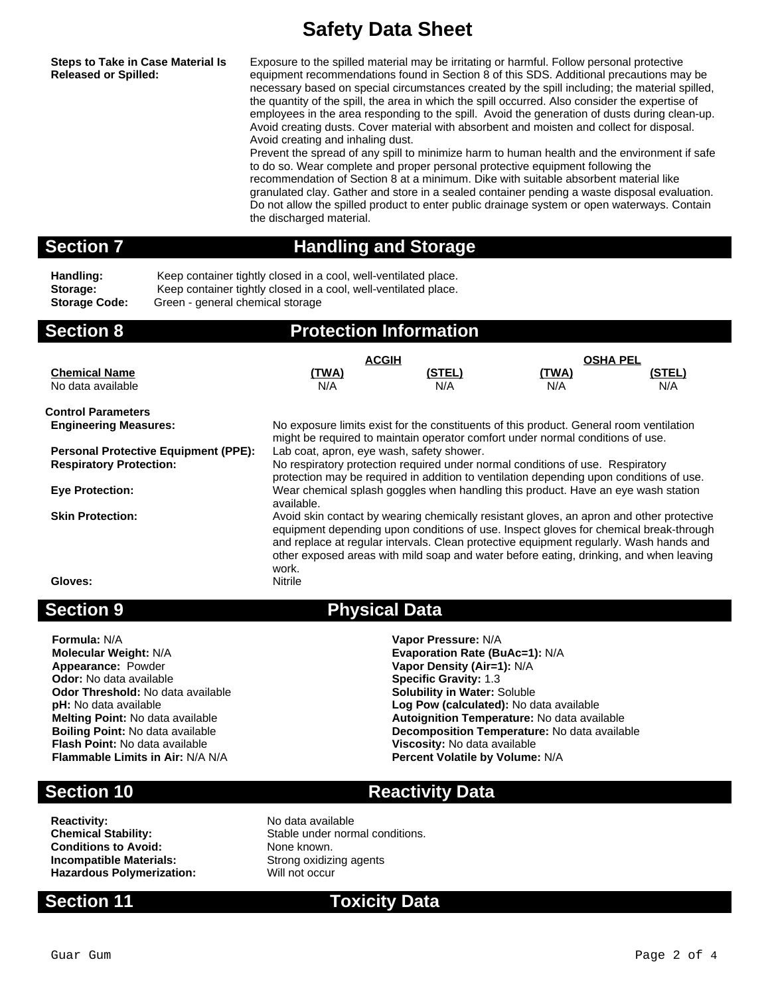**Steps to Take in Case Material Is Released or Spilled:**

Exposure to the spilled material may be irritating or harmful. Follow personal protective equipment recommendations found in Section 8 of this SDS. Additional precautions may be necessary based on special circumstances created by the spill including; the material spilled, the quantity of the spill, the area in which the spill occurred. Also consider the expertise of employees in the area responding to the spill. Avoid the generation of dusts during clean-up. Avoid creating dusts. Cover material with absorbent and moisten and collect for disposal. Avoid creating and inhaling dust.

Prevent the spread of any spill to minimize harm to human health and the environment if safe to do so. Wear complete and proper personal protective equipment following the recommendation of Section 8 at a minimum. Dike with suitable absorbent material like granulated clay. Gather and store in a sealed container pending a waste disposal evaluation. Do not allow the spilled product to enter public drainage system or open waterways. Contain the discharged material.

## **Section 7 Handling and Storage**

Handling: Keep container tightly closed in a cool, well-ventilated place. Storage: Keep container tightly closed in a cool, well-ventilated place. **Storage Code:** Green - general chemical storage

| <b>Section 8</b>                            | <b>Protection Information</b>                                                                                                                                             |                                                                                         |                 |        |
|---------------------------------------------|---------------------------------------------------------------------------------------------------------------------------------------------------------------------------|-----------------------------------------------------------------------------------------|-----------------|--------|
|                                             | <b>ACGIH</b>                                                                                                                                                              |                                                                                         | <b>OSHA PEL</b> |        |
| <b>Chemical Name</b>                        | <u>(TWA)</u>                                                                                                                                                              | (STEL)                                                                                  | <u>(TWA)</u>    | (STEL) |
| No data available                           | N/A                                                                                                                                                                       | N/A                                                                                     | N/A             | N/A    |
| <b>Control Parameters</b>                   |                                                                                                                                                                           |                                                                                         |                 |        |
| <b>Engineering Measures:</b>                | No exposure limits exist for the constituents of this product. General room ventilation<br>might be required to maintain operator comfort under normal conditions of use. |                                                                                         |                 |        |
| <b>Personal Protective Equipment (PPE):</b> | Lab coat, apron, eye wash, safety shower.                                                                                                                                 |                                                                                         |                 |        |
| <b>Respiratory Protection:</b>              |                                                                                                                                                                           | No respiratory protection required under normal conditions of use. Respiratory          |                 |        |
|                                             |                                                                                                                                                                           | protection may be required in addition to ventilation depending upon conditions of use. |                 |        |
| <b>Eye Protection:</b>                      |                                                                                                                                                                           | Wear chemical splash goggles when handling this product. Have an eye wash station       |                 |        |
|                                             | available.                                                                                                                                                                |                                                                                         |                 |        |
| <b>Skin Protection:</b>                     | Avoid skin contact by wearing chemically resistant gloves, an apron and other protective                                                                                  |                                                                                         |                 |        |
|                                             |                                                                                                                                                                           | equipment depending upon conditions of use. Inspect gloves for chemical break-through   |                 |        |
|                                             |                                                                                                                                                                           | and replace at regular intervals. Clean protective equipment regularly. Wash hands and  |                 |        |
|                                             |                                                                                                                                                                           | other exposed areas with mild soap and water before eating, drinking, and when leaving  |                 |        |
|                                             | work.                                                                                                                                                                     |                                                                                         |                 |        |
| Gloves:                                     | Nitrile                                                                                                                                                                   |                                                                                         |                 |        |
|                                             |                                                                                                                                                                           |                                                                                         |                 |        |

**Formula:** N/A **Vapor Pressure:** N/A **Molecular Weight:** N/A **Evaporation Rate (BuAc=1):** N/A **Appearance:** Powder **Vapor Density (Air=1):** N/A **Odor:** No data available **Specific Gravity:** 1.3 **Odor Threshold:** No data available **Solubility in Water:** Soluble pH: No data available pH: No data available pH: No data available **Flash Point:** No data available **Viscosity:** No data available **Flammable Limits in Air:** N/A N/A **Percent Volatile by Volume:** N/A

## **Section 9 Physical Data**

**pH:** No data available **Log Pow (calculated):** No data available **Melting Point:** No data available **Autoignition Temperature:** No data available **Boiling Point:** No data available **Boiling Point:** No data available **Decomposition Temperature:** No data available

## **Section 10 Reactivity Data**

**Reactivity:** No data available<br> **Chemical Stability:** No data available<br>
Stable under norr **Conditions to Avoid:** None known. **Incompatible Materials:** Strong oxidizing agents **Hazardous Polymerization:** Will not occur

Stable under normal conditions.

**Section 11 Toxicity Data**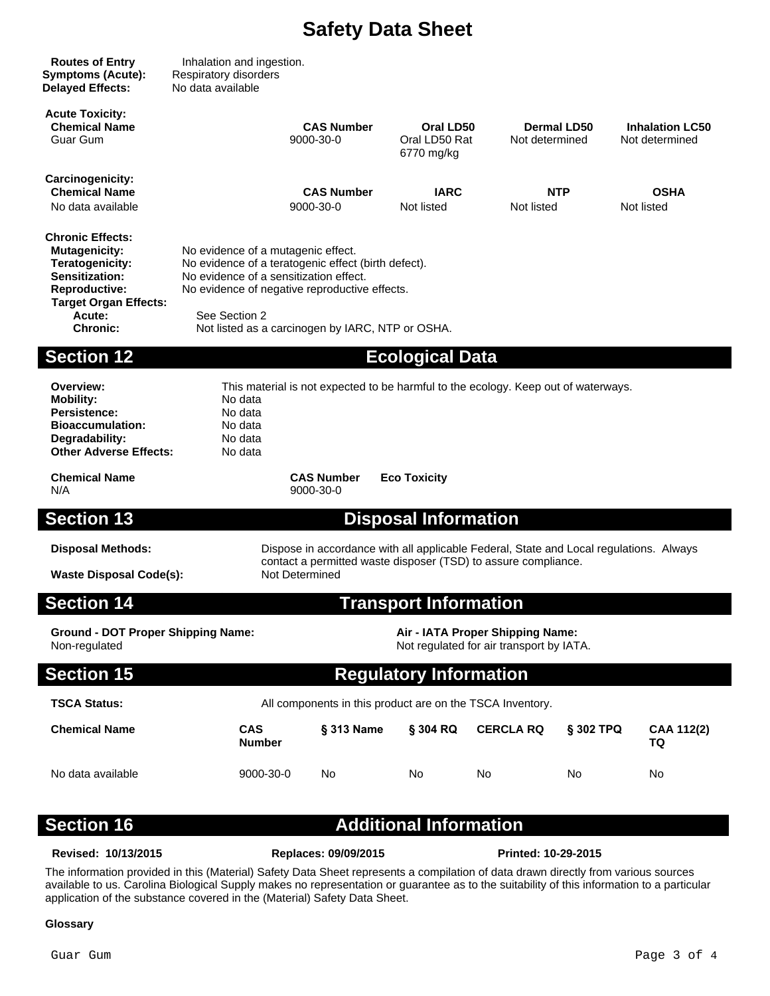| <b>Routes of Entry</b><br><b>Symptoms (Acute):</b><br><b>Delayed Effects:</b>                                                                                                    | Inhalation and ingestion.<br>Respiratory disorders<br>No data available                                                                                                                                                                                   |                                                                                        |                                          |                                                                              |                    |                                          |
|----------------------------------------------------------------------------------------------------------------------------------------------------------------------------------|-----------------------------------------------------------------------------------------------------------------------------------------------------------------------------------------------------------------------------------------------------------|----------------------------------------------------------------------------------------|------------------------------------------|------------------------------------------------------------------------------|--------------------|------------------------------------------|
| <b>Acute Toxicity:</b><br><b>Chemical Name</b><br>Guar Gum                                                                                                                       |                                                                                                                                                                                                                                                           | <b>CAS Number</b><br>9000-30-0                                                         | Oral LD50<br>Oral LD50 Rat<br>6770 mg/kg | Not determined                                                               | <b>Dermal LD50</b> | <b>Inhalation LC50</b><br>Not determined |
| Carcinogenicity:<br><b>Chemical Name</b><br>No data available                                                                                                                    |                                                                                                                                                                                                                                                           | <b>CAS Number</b><br>9000-30-0                                                         | <b>IARC</b><br>Not listed                | Not listed                                                                   | <b>NTP</b>         | <b>OSHA</b><br>Not listed                |
| <b>Chronic Effects:</b><br><b>Mutagenicity:</b><br>Teratogenicity:<br><b>Sensitization:</b><br><b>Reproductive:</b><br><b>Target Organ Effects:</b><br>Acute:<br><b>Chronic:</b> | No evidence of a mutagenic effect.<br>No evidence of a teratogenic effect (birth defect).<br>No evidence of a sensitization effect.<br>No evidence of negative reproductive effects.<br>See Section 2<br>Not listed as a carcinogen by IARC, NTP or OSHA. |                                                                                        |                                          |                                                                              |                    |                                          |
| <b>Section 12</b>                                                                                                                                                                |                                                                                                                                                                                                                                                           |                                                                                        | <b>Ecological Data</b>                   |                                                                              |                    |                                          |
| Overview:<br><b>Mobility:</b><br>Persistence:<br><b>Bioaccumulation:</b><br>Degradability:<br><b>Other Adverse Effects:</b>                                                      | This material is not expected to be harmful to the ecology. Keep out of waterways.<br>No data<br>No data<br>No data<br>No data<br>No data                                                                                                                 |                                                                                        |                                          |                                                                              |                    |                                          |
| <b>Chemical Name</b><br>N/A                                                                                                                                                      |                                                                                                                                                                                                                                                           | <b>CAS Number</b><br>9000-30-0                                                         | <b>Eco Toxicity</b>                      |                                                                              |                    |                                          |
| <b>Section 13</b>                                                                                                                                                                |                                                                                                                                                                                                                                                           |                                                                                        | <b>Disposal Information</b>              |                                                                              |                    |                                          |
| <b>Disposal Methods:</b>                                                                                                                                                         |                                                                                                                                                                                                                                                           | Dispose in accordance with all applicable Federal, State and Local regulations. Always |                                          |                                                                              |                    |                                          |
| <b>Waste Disposal Code(s):</b>                                                                                                                                                   |                                                                                                                                                                                                                                                           | contact a permitted waste disposer (TSD) to assure compliance.<br>Not Determined       |                                          |                                                                              |                    |                                          |
| <b>Section 14</b>                                                                                                                                                                |                                                                                                                                                                                                                                                           |                                                                                        | <b>Transport Information</b>             |                                                                              |                    |                                          |
| <b>Ground - DOT Proper Shipping Name:</b><br>Non-regulated                                                                                                                       |                                                                                                                                                                                                                                                           |                                                                                        |                                          | Air - IATA Proper Shipping Name:<br>Not regulated for air transport by IATA. |                    |                                          |
| <b>Section 15</b>                                                                                                                                                                |                                                                                                                                                                                                                                                           |                                                                                        | <b>Regulatory Information</b>            |                                                                              |                    |                                          |
| <b>TSCA Status:</b>                                                                                                                                                              |                                                                                                                                                                                                                                                           | All components in this product are on the TSCA Inventory.                              |                                          |                                                                              |                    |                                          |
| <b>Chemical Name</b>                                                                                                                                                             | <b>CAS</b><br><b>Number</b>                                                                                                                                                                                                                               | § 313 Name                                                                             | § 304 RQ                                 | <b>CERCLA RQ</b>                                                             | § 302 TPQ          | CAA 112(2)<br>TQ                         |
| No data available                                                                                                                                                                | 9000-30-0                                                                                                                                                                                                                                                 | No.                                                                                    | No.                                      | No.                                                                          | No.                | No                                       |
| <b>Section 16</b>                                                                                                                                                                |                                                                                                                                                                                                                                                           |                                                                                        | <b>Additional Information</b>            |                                                                              |                    |                                          |

**Revised: 10/13/2015 Replaces: 09/09/2015 Printed: 10-29-2015**

The information provided in this (Material) Safety Data Sheet represents a compilation of data drawn directly from various sources available to us. Carolina Biological Supply makes no representation or guarantee as to the suitability of this information to a particular application of the substance covered in the (Material) Safety Data Sheet.

### **Glossary**